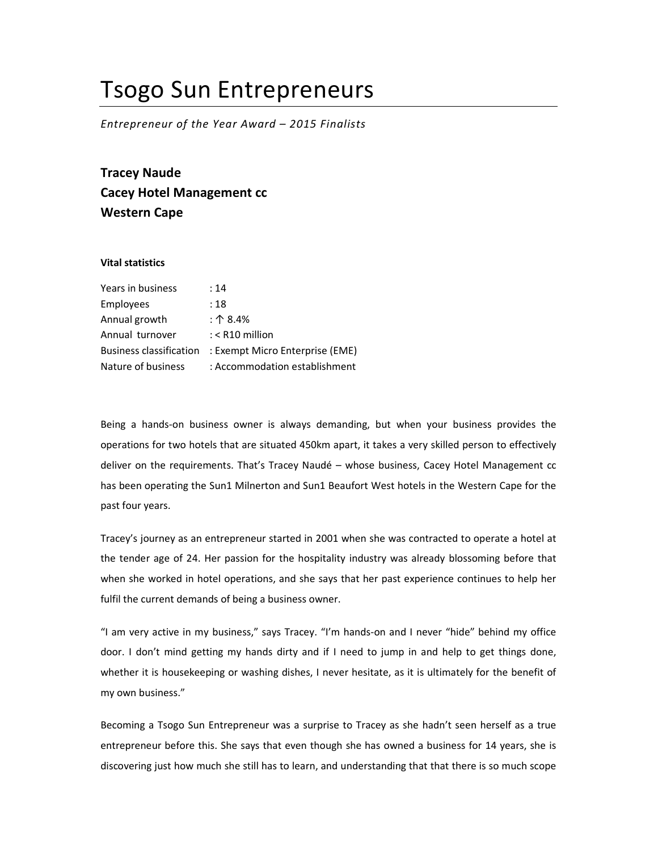## Tsogo Sun Entrepreneurs

Entrepreneur of the Year Award – 2015 Finalists

Tracey Naude Cacey Hotel Management cc Western Cape

## Vital statistics

| Years in business              | :14                             |
|--------------------------------|---------------------------------|
| Employees                      | : 18                            |
| Annual growth                  | : $\uparrow$ 8.4%               |
| Annual turnover                | $:$ < R10 million               |
| <b>Business classification</b> | : Exempt Micro Enterprise (EME) |
| Nature of business             | : Accommodation establishment   |

Being a hands-on business owner is always demanding, but when your business provides the operations for two hotels that are situated 450km apart, it takes a very skilled person to effectively deliver on the requirements. That's Tracey Naudé – whose business, Cacey Hotel Management cc has been operating the Sun1 Milnerton and Sun1 Beaufort West hotels in the Western Cape for the past four years.

Tracey's journey as an entrepreneur started in 2001 when she was contracted to operate a hotel at the tender age of 24. Her passion for the hospitality industry was already blossoming before that when she worked in hotel operations, and she says that her past experience continues to help her fulfil the current demands of being a business owner.

"I am very active in my business," says Tracey. "I'm hands-on and I never "hide" behind my office door. I don't mind getting my hands dirty and if I need to jump in and help to get things done, whether it is housekeeping or washing dishes, I never hesitate, as it is ultimately for the benefit of my own business."

Becoming a Tsogo Sun Entrepreneur was a surprise to Tracey as she hadn't seen herself as a true entrepreneur before this. She says that even though she has owned a business for 14 years, she is discovering just how much she still has to learn, and understanding that that there is so much scope